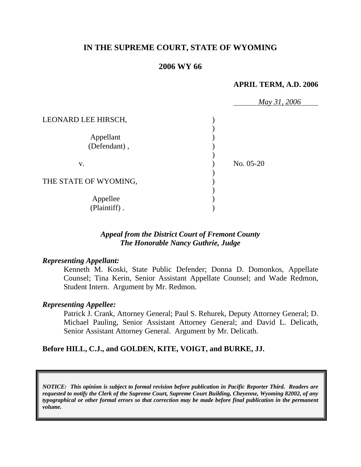## **IN THE SUPREME COURT, STATE OF WYOMING**

### **2006 WY 66**

#### **APRIL TERM, A.D. 2006**

|                       | May 31, 2006 |  |
|-----------------------|--------------|--|
| LEONARD LEE HIRSCH,   |              |  |
|                       |              |  |
| Appellant             |              |  |
| (Defendant),          |              |  |
|                       |              |  |
| V.                    | No. 05-20    |  |
|                       |              |  |
| THE STATE OF WYOMING, |              |  |
|                       |              |  |
| Appellee              |              |  |
| (Plaintiff).          |              |  |

## *Appeal from the District Court of Fremont County The Honorable Nancy Guthrie, Judge*

### *Representing Appellant:*

Kenneth M. Koski, State Public Defender; Donna D. Domonkos, Appellate Counsel; Tina Kerin, Senior Assistant Appellate Counsel; and Wade Redmon, Student Intern. Argument by Mr. Redmon.

### *Representing Appellee:*

Patrick J. Crank, Attorney General; Paul S. Rehurek, Deputy Attorney General; D. Michael Pauling, Senior Assistant Attorney General; and David L. Delicath, Senior Assistant Attorney General. Argument by Mr. Delicath.

### **Before HILL, C.J., and GOLDEN, KITE, VOIGT, and BURKE, JJ.**

*NOTICE: This opinion is subject to formal revision before publication in Pacific Reporter Third. Readers are requested to notify the Clerk of the Supreme Court, Supreme Court Building, Cheyenne, Wyoming 82002, of any typographical or other formal errors so that correction may be made before final publication in the permanent volume.*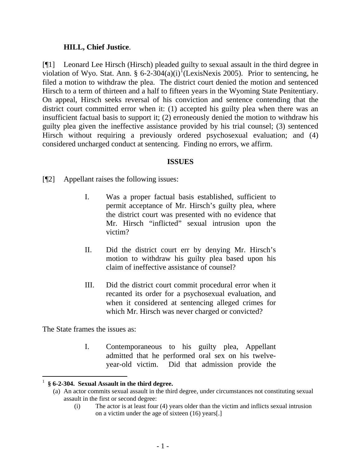### **HILL, Chief Justice**.

[¶1] Leonard Lee Hirsch (Hirsch) pleaded guilty to sexual assault in the third degree in violation of Wyo. Stat. Ann. § 6-2-304(a)(i)<sup>I</sup>(LexisNexis 2005). Prior to sentencing, he filed a motion to withdraw the plea. The district court denied the motion and sentenced Hirsch to a term of thirteen and a half to fifteen years in the Wyoming State Penitentiary. On appeal, Hirsch seeks reversal of his conviction and sentence contending that the district court committed error when it: (1) accepted his guilty plea when there was an insufficient factual basis to support it; (2) erroneously denied the motion to withdraw his guilty plea given the ineffective assistance provided by his trial counsel; (3) sentenced Hirsch without requiring a previously ordered psychosexual evaluation; and (4) considered uncharged conduct at sentencing. Finding no errors, we affirm.

### **ISSUES**

[¶2] Appellant raises the following issues:

- I. Was a proper factual basis established, sufficient to permit acceptance of Mr. Hirsch's guilty plea, where the district court was presented with no evidence that Mr. Hirsch "inflicted" sexual intrusion upon the victim?
- II. Did the district court err by denying Mr. Hirsch's motion to withdraw his guilty plea based upon his claim of ineffective assistance of counsel?
- III. Did the district court commit procedural error when it recanted its order for a psychosexual evaluation, and when it considered at sentencing alleged crimes for which Mr. Hirsch was never charged or convicted?

The State frames the issues as:

I. Contemporaneous to his guilty plea, Appellant admitted that he performed oral sex on his twelveyear-old victim. Did that admission provide the

(i) The actor is at least four (4) years older than the victim and inflicts sexual intrusion on a victim under the age of sixteen (16) years[.]

<span id="page-2-0"></span> 1 **§ 6-2-304. Sexual Assault in the third degree.**

<sup>(</sup>a) An actor commits sexual assault in the third degree, under circumstances not constituting sexual assault in the first or second degree: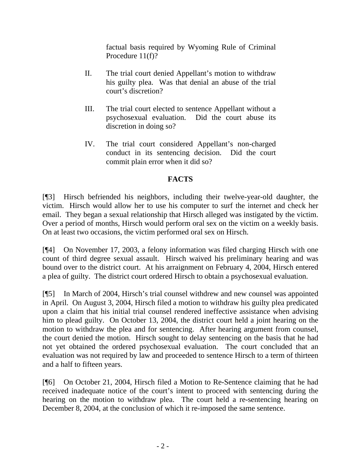factual basis required by Wyoming Rule of Criminal Procedure 11(f)?

- II. The trial court denied Appellant's motion to withdraw his guilty plea. Was that denial an abuse of the trial court's discretion?
- III. The trial court elected to sentence Appellant without a psychosexual evaluation. Did the court abuse its discretion in doing so?
- IV. The trial court considered Appellant's non-charged conduct in its sentencing decision. Did the court commit plain error when it did so?

# **FACTS**

[¶3] Hirsch befriended his neighbors, including their twelve-year-old daughter, the victim. Hirsch would allow her to use his computer to surf the internet and check her email. They began a sexual relationship that Hirsch alleged was instigated by the victim. Over a period of months, Hirsch would perform oral sex on the victim on a weekly basis. On at least two occasions, the victim performed oral sex on Hirsch.

[¶4] On November 17, 2003, a felony information was filed charging Hirsch with one count of third degree sexual assault. Hirsch waived his preliminary hearing and was bound over to the district court. At his arraignment on February 4, 2004, Hirsch entered a plea of guilty. The district court ordered Hirsch to obtain a psychosexual evaluation.

[¶5] In March of 2004, Hirsch's trial counsel withdrew and new counsel was appointed in April. On August 3, 2004, Hirsch filed a motion to withdraw his guilty plea predicated upon a claim that his initial trial counsel rendered ineffective assistance when advising him to plead guilty. On October 13, 2004, the district court held a joint hearing on the motion to withdraw the plea and for sentencing. After hearing argument from counsel, the court denied the motion. Hirsch sought to delay sentencing on the basis that he had not yet obtained the ordered psychosexual evaluation. The court concluded that an evaluation was not required by law and proceeded to sentence Hirsch to a term of thirteen and a half to fifteen years.

[¶6] On October 21, 2004, Hirsch filed a Motion to Re-Sentence claiming that he had received inadequate notice of the court's intent to proceed with sentencing during the hearing on the motion to withdraw plea. The court held a re-sentencing hearing on December 8, 2004, at the conclusion of which it re-imposed the same sentence.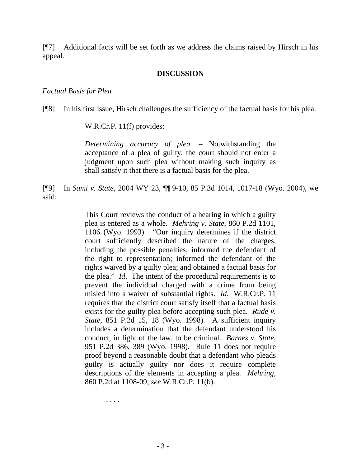[¶7] Additional facts will be set forth as we address the claims raised by Hirsch in his appeal.

#### **DISCUSSION**

#### *Factual Basis for Plea*

[¶8] In his first issue, Hirsch challenges the sufficiency of the factual basis for his plea.

W.R.Cr.P. 11(f) provides:

*Determining accuracy of plea.* – Notwithstanding the acceptance of a plea of guilty, the court should not enter a judgment upon such plea without making such inquiry as shall satisfy it that there is a factual basis for the plea.

[¶9] In *Sami v. State*, 2004 WY 23, ¶¶ 9-10, 85 P.3d 1014, 1017-18 (Wyo. 2004), we said:

> This Court reviews the conduct of a hearing in which a guilty plea is entered as a whole. *Mehring v. State*, 860 P.2d 1101, 1106 (Wyo. 1993). "Our inquiry determines if the district court sufficiently described the nature of the charges, including the possible penalties; informed the defendant of the right to representation; informed the defendant of the rights waived by a guilty plea; and obtained a factual basis for the plea." *Id*. The intent of the procedural requirements is to prevent the individual charged with a crime from being misled into a waiver of substantial rights. *Id*. W.R.Cr.P. 11 requires that the district court satisfy itself that a factual basis exists for the guilty plea before accepting such plea. *Rude v. State*, 851 P.2d 15, 18 (Wyo. 1998). A sufficient inquiry includes a determination that the defendant understood his conduct, in light of the law, to be criminal. *Barnes v. State*, 951 P.2d 386, 389 (Wyo. 1998). Rule 11 does not require proof beyond a reasonable doubt that a defendant who pleads guilty is actually guilty nor does it require complete descriptions of the elements in accepting a plea. *Mehring*, 860 P.2d at 1108-09; *see* W.R.Cr.P. 11(b).

> > . . . .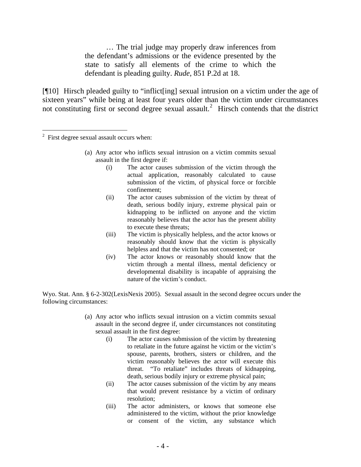… The trial judge may properly draw inferences from the defendant's admissions or the evidence presented by the state to satisfy all elements of the crime to which the defendant is pleading guilty. *Rude*, 851 P.2d at 18.

[¶10] Hirsch pleaded guilty to "inflict[ing] sexual intrusion on a victim under the age of sixteen years" while being at least four years older than the victim under circumstances not constituting first or second degree sexual assault.<sup>[2](#page-5-0)</sup> Hirsch contends that the district

- (a) Any actor who inflicts sexual intrusion on a victim commits sexual assault in the first degree if:
	- (i) The actor causes submission of the victim through the actual application, reasonably calculated to cause submission of the victim, of physical force or forcible confinement;
	- (ii) The actor causes submission of the victim by threat of death, serious bodily injury, extreme physical pain or kidnapping to be inflicted on anyone and the victim reasonably believes that the actor has the present ability to execute these threats;
	- (iii) The victim is physically helpless, and the actor knows or reasonably should know that the victim is physically helpless and that the victim has not consented; or
	- (iv) The actor knows or reasonably should know that the victim through a mental illness, mental deficiency or developmental disability is incapable of appraising the nature of the victim's conduct.

Wyo. Stat. Ann. § 6-2-302(LexisNexis 2005). Sexual assault in the second degree occurs under the following circumstances:

- (a) Any actor who inflicts sexual intrusion on a victim commits sexual assault in the second degree if, under circumstances not constituting sexual assault in the first degree:
	- (i) The actor causes submission of the victim by threatening to retaliate in the future against he victim or the victim's spouse, parents, brothers, sisters or children, and the victim reasonably believes the actor will execute this threat. "To retaliate" includes threats of kidnapping, death, serious bodily injury or extreme physical pain;
	- (ii) The actor causes submission of the victim by any means that would prevent resistance by a victim of ordinary resolution;
	- (iii) The actor administers, or knows that someone else administered to the victim, without the prior knowledge or consent of the victim, any substance which

<span id="page-5-0"></span><sup>&</sup>lt;sup>2</sup> First degree sexual assault occurs when: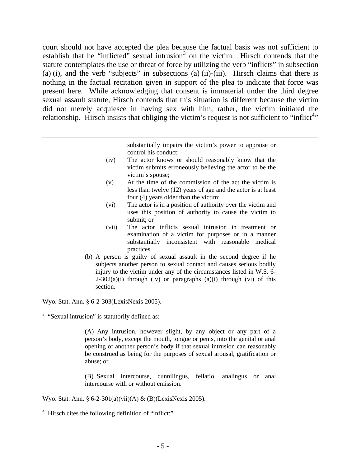court should not have accepted the plea because the factual basis was not sufficient to establish that he "inflicted" sexual intrusion<sup>[3](#page-6-0)</sup> on the victim. Hirsch contends that the statute contemplates the use or threat of force by utilizing the verb "inflicts" in subsection (a) (i), and the verb "subjects" in subsections (a) (ii)-(iii). Hirsch claims that there is nothing in the factual recitation given in support of the plea to indicate that force was present here. While acknowledging that consent is immaterial under the third degree sexual assault statute, Hirsch contends that this situation is different because the victim did not merely acquiesce in having sex with him; rather, the victim initiated the relationship. Hirsch insists that obliging the victim's request is not sufficient to "inflict<sup>[4](#page-6-1)</sup>"

> substantially impairs the victim's power to appraise or control his conduct;

- (iv) The actor knows or should reasonably know that the victim submits erroneously believing the actor to be the victim's spouse;
- (v) At the time of the commission of the act the victim is less than twelve (12) years of age and the actor is at least four (4) years older than the victim;
- (vi) The actor is in a position of authority over the victim and uses this position of authority to cause the victim to submit; or
- (vii) The actor inflicts sexual intrusion in treatment or examination of a victim for purposes or in a manner substantially inconsistent with reasonable medical practices.
- (b) A person is guilty of sexual assault in the second degree if he subjects another person to sexual contact and causes serious bodily injury to the victim under any of the circumstances listed in W.S. 6-  $2-302(a)(i)$  through (iv) or paragraphs (a)(i) through (vi) of this section.

Wyo. Stat. Ann. § 6-2-303(LexisNexis 2005).

 $\overline{a}$ 

<span id="page-6-0"></span> $3$  "Sexual intrusion" is statutorily defined as:

(A) Any intrusion, however slight, by any object or any part of a person's body, except the mouth, tongue or penis, into the genital or anal opening of another person's body if that sexual intrusion can reasonably be construed as being for the purposes of sexual arousal, gratification or abuse; or

(B) Sexual intercourse, cunnilingus, fellatio, analingus or anal intercourse with or without emission.

Wyo. Stat. Ann. § 6-2-301(a)(vii)(A) & (B)(LexisNexis 2005).

<span id="page-6-1"></span><sup>4</sup> Hirsch cites the following definition of "inflict:"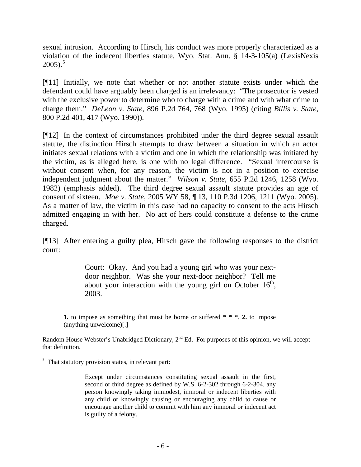sexual intrusion. According to Hirsch, his conduct was more properly characterized as a violation of the indecent liberties statute, Wyo. Stat. Ann. § 14-3-105(a) (LexisNexis  $2005$  $2005$ ).<sup>5</sup>

[¶11] Initially, we note that whether or not another statute exists under which the defendant could have arguably been charged is an irrelevancy: "The prosecutor is vested with the exclusive power to determine who to charge with a crime and with what crime to charge them." *DeLeon v. State*, 896 P.2d 764, 768 (Wyo. 1995) (citing *Billis v. State*, 800 P.2d 401, 417 (Wyo. 1990)).

[¶12] In the context of circumstances prohibited under the third degree sexual assault statute, the distinction Hirsch attempts to draw between a situation in which an actor initiates sexual relations with a victim and one in which the relationship was initiated by the victim, as is alleged here, is one with no legal difference. "Sexual intercourse is without consent when, for any reason, the victim is not in a position to exercise independent judgment about the matter." *Wilson v. State*, 655 P.2d 1246, 1258 (Wyo. 1982) (emphasis added). The third degree sexual assault statute provides an age of consent of sixteen. *Moe v. State*, 2005 WY 58, ¶ 13, 110 P.3d 1206, 1211 (Wyo. 2005). As a matter of law, the victim in this case had no capacity to consent to the acts Hirsch admitted engaging in with her. No act of hers could constitute a defense to the crime charged.

[¶13] After entering a guilty plea, Hirsch gave the following responses to the district court:

> Court: Okay. And you had a young girl who was your nextdoor neighbor. Was she your next-door neighbor? Tell me about your interaction with the young girl on October  $16<sup>th</sup>$ , 2003.

**1.** to impose as something that must be borne or suffered \* \* \*. **2.** to impose (anything unwelcome)[.]

Random House Webster's Unabridged Dictionary, 2<sup>nd</sup> Ed. For purposes of this opinion, we will accept that definition.

<span id="page-7-0"></span> $<sup>5</sup>$  That statutory provision states, in relevant part:</sup>

l

Except under circumstances constituting sexual assault in the first, second or third degree as defined by W.S. 6-2-302 through 6-2-304, any person knowingly taking immodest, immoral or indecent liberties with any child or knowingly causing or encouraging any child to cause or encourage another child to commit with him any immoral or indecent act is guilty of a felony.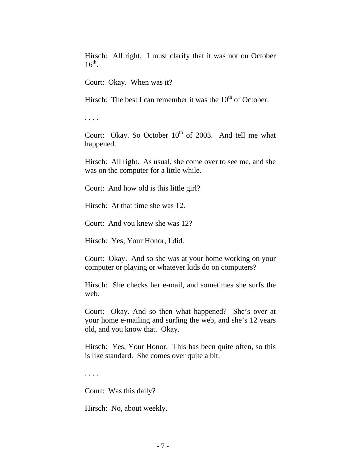Hirsch: All right. I must clarify that it was not on October  $16^{th}$ .

Court: Okay. When was it?

Hirsch: The best I can remember it was the  $10<sup>th</sup>$  of October.

. . . .

Court: Okay. So October  $10^{th}$  of 2003. And tell me what happened.

Hirsch: All right. As usual, she come over to see me, and she was on the computer for a little while.

Court: And how old is this little girl?

Hirsch: At that time she was 12.

Court: And you knew she was 12?

Hirsch: Yes, Your Honor, I did.

Court: Okay. And so she was at your home working on your computer or playing or whatever kids do on computers?

Hirsch: She checks her e-mail, and sometimes she surfs the web.

Court: Okay. And so then what happened? She's over at your home e-mailing and surfing the web, and she's 12 years old, and you know that. Okay.

Hirsch: Yes, Your Honor. This has been quite often, so this is like standard. She comes over quite a bit.

. . . .

Court: Was this daily?

Hirsch: No, about weekly.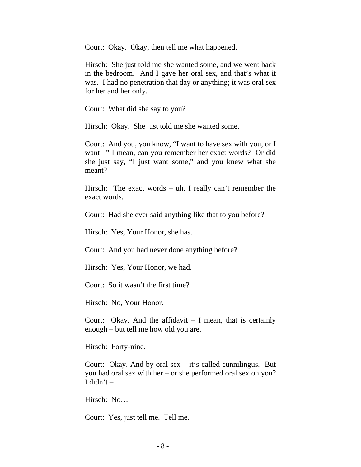Court: Okay. Okay, then tell me what happened.

Hirsch: She just told me she wanted some, and we went back in the bedroom. And I gave her oral sex, and that's what it was. I had no penetration that day or anything; it was oral sex for her and her only.

Court: What did she say to you?

Hirsch: Okay. She just told me she wanted some.

Court: And you, you know, "I want to have sex with you, or I want –" I mean, can you remember her exact words? Or did she just say, "I just want some," and you knew what she meant?

Hirsch: The exact words – uh, I really can't remember the exact words.

Court: Had she ever said anything like that to you before?

Hirsch: Yes, Your Honor, she has.

Court: And you had never done anything before?

Hirsch: Yes, Your Honor, we had.

Court: So it wasn't the first time?

Hirsch: No, Your Honor.

Court: Okay. And the affidavit  $-$  I mean, that is certainly enough – but tell me how old you are.

Hirsch: Forty-nine.

Court: Okay. And by oral  $sex - it's$  called cunnilingus. But you had oral sex with her – or she performed oral sex on you? I didn't  $-$ 

Hirsch: No…

Court: Yes, just tell me. Tell me.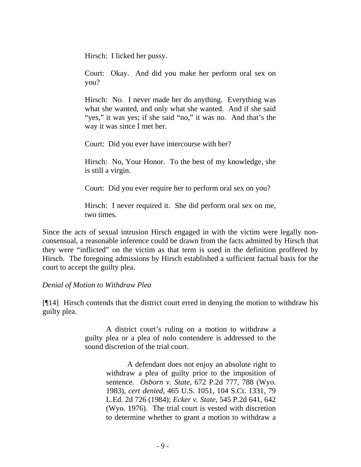Hirsch: I licked her pussy.

Court: Okay. And did you make her perform oral sex on you?

Hirsch: No. I never made her do anything. Everything was what she wanted, and only what she wanted. And if she said "yes," it was yes; if she said "no," it was no. And that's the way it was since I met her.

Court: Did you ever have intercourse with her?

Hirsch: No, Your Honor. To the best of my knowledge, she is still a virgin.

Court: Did you ever require her to perform oral sex on you?

Hirsch: I never required it. She did perform oral sex on me, two times.

Since the acts of sexual intrusion Hirsch engaged in with the victim were legally nonconsensual, a reasonable inference could be drawn from the facts admitted by Hirsch that they were "inflicted" on the victim as that term is used in the definition proffered by Hirsch. The foregoing admissions by Hirsch established a sufficient factual basis for the court to accept the guilty plea.

### *Denial of Motion to Withdraw Plea*

[¶14] Hirsch contends that the district court erred in denying the motion to withdraw his guilty plea.

> A district court's ruling on a motion to withdraw a guilty plea or a plea of nolo contendere is addressed to the sound discretion of the trial court.

> > A defendant does not enjoy an absolute right to withdraw a plea of guilty prior to the imposition of sentence. *Osborn v. State*, 672 P.2d 777, 788 (Wyo. 1983), *cert denied*, 465 U.S. 1051, 104 S.Ct. 1331, 79 L.Ed. 2d 726 (1984); *Ecker v. State*, 545 P.2d 641, 642 (Wyo. 1976). The trial court is vested with discretion to determine whether to grant a motion to withdraw a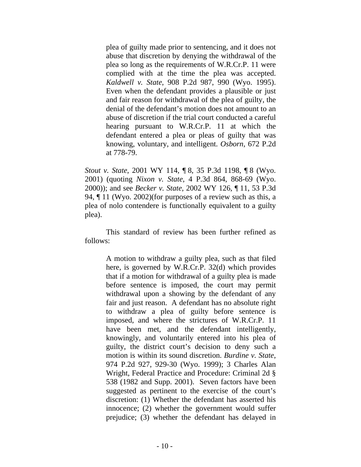plea of guilty made prior to sentencing, and it does not abuse that discretion by denying the withdrawal of the plea so long as the requirements of W.R.Cr.P. 11 were complied with at the time the plea was accepted. *Kaldwell v. State*, 908 P.2d 987, 990 (Wyo. 1995). Even when the defendant provides a plausible or just and fair reason for withdrawal of the plea of guilty, the denial of the defendant's motion does not amount to an abuse of discretion if the trial court conducted a careful hearing pursuant to W.R.Cr.P. 11 at which the defendant entered a plea or pleas of guilty that was knowing, voluntary, and intelligent. *Osborn*, 672 P.2d at 778-79.

*Stout v. State*, 2001 WY 114, ¶ 8, 35 P.3d 1198, ¶ 8 (Wyo. 2001) (quoting *Nixon v. State*, 4 P.3d 864, 868-69 (Wyo. 2000)); and see *Becker v. State*, 2002 WY 126, ¶ 11, 53 P.3d 94, ¶ 11 (Wyo. 2002)(for purposes of a review such as this, a plea of nolo contendere is functionally equivalent to a guilty plea).

This standard of review has been further refined as follows:

> A motion to withdraw a guilty plea, such as that filed here, is governed by W.R.Cr.P. 32(d) which provides that if a motion for withdrawal of a guilty plea is made before sentence is imposed, the court may permit withdrawal upon a showing by the defendant of any fair and just reason. A defendant has no absolute right to withdraw a plea of guilty before sentence is imposed, and where the strictures of W.R.Cr.P. 11 have been met, and the defendant intelligently, knowingly, and voluntarily entered into his plea of guilty, the district court's decision to deny such a motion is within its sound discretion. *Burdine v. State*, 974 P.2d 927, 929-30 (Wyo. 1999); 3 Charles Alan Wright, Federal Practice and Procedure: Criminal 2d § 538 (1982 and Supp. 2001). Seven factors have been suggested as pertinent to the exercise of the court's discretion: (1) Whether the defendant has asserted his innocence; (2) whether the government would suffer prejudice; (3) whether the defendant has delayed in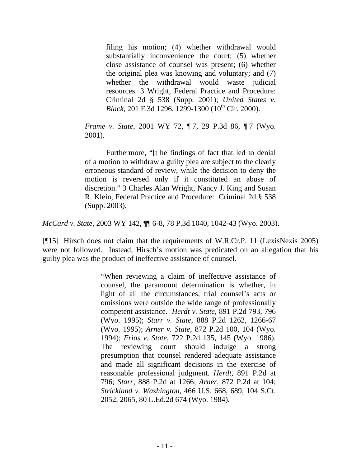filing his motion; (4) whether withdrawal would substantially inconvenience the court; (5) whether close assistance of counsel was present; (6) whether the original plea was knowing and voluntary; and (7) whether the withdrawal would waste judicial resources. 3 Wright, Federal Practice and Procedure: Criminal 2d § 538 (Supp. 2001); *United States v. Black*, 201 F.3d 1296, 1299-1300 (10<sup>th</sup> Cir. 2000).

*Frame v. State*, 2001 WY 72, 17, 29 P.3d 86, 17 (Wyo. 2001).

Furthermore, "[t]he findings of fact that led to denial of a motion to withdraw a guilty plea are subject to the clearly erroneous standard of review, while the decision to deny the motion is reversed only if it constituted an abuse of discretion." 3 Charles Alan Wright, Nancy J. King and Susan R. Klein, Federal Practice and Procedure: Criminal 2d § 538 (Supp. 2003).

*McCard v. State*, 2003 WY 142, ¶¶ 6-8, 78 P.3d 1040, 1042-43 (Wyo. 2003).

[¶15] Hirsch does not claim that the requirements of W.R.Cr.P. 11 (LexisNexis 2005) were not followed. Instead, Hirsch's motion was predicated on an allegation that his guilty plea was the product of ineffective assistance of counsel.

> "When reviewing a claim of ineffective assistance of counsel, the paramount determination is whether, in light of all the circumstances, trial counsel's acts or omissions were outside the wide range of professionally competent assistance. *Herdt v. State*, 891 P.2d 793, 796 (Wyo. 1995); *Starr v. State*, 888 P.2d 1262, 1266-67 (Wyo. 1995); *Arner v. State*, 872 P.2d 100, 104 (Wyo. 1994); *Frias v. State*, 722 P.2d 135, 145 (Wyo. 1986). The reviewing court should indulge a strong presumption that counsel rendered adequate assistance and made all significant decisions in the exercise of reasonable professional judgment. *Herdt*, 891 P.2d at 796; *Starr*, 888 P.2d at 1266; *Arner*, 872 P.2d at 104; *Strickland v. Washington*, 466 U.S. 668, 689, 104 S.Ct. 2052, 2065, 80 L.Ed.2d 674 (Wyo. 1984).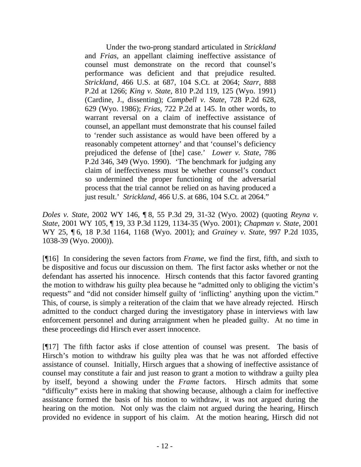Under the two-prong standard articulated in *Strickland* and *Frias*, an appellant claiming ineffective assistance of counsel must demonstrate on the record that counsel's performance was deficient and that prejudice resulted. *Strickland*, 466 U.S. at 687, 104 S.Ct. at 2064; *Starr*, 888 P.2d at 1266; *King v. State*, 810 P.2d 119, 125 (Wyo. 1991) (Cardine, J., dissenting); *Campbell v. State*, 728 P.2d 628, 629 (Wyo. 1986); *Frias*, 722 P.2d at 145. In other words, to warrant reversal on a claim of ineffective assistance of counsel, an appellant must demonstrate that his counsel failed to 'render such assistance as would have been offered by a reasonably competent attorney' and that 'counsel's deficiency prejudiced the defense of [the] case.' *Lower v. State*, 786 P.2d 346, 349 (Wyo. 1990). 'The benchmark for judging any claim of ineffectiveness must be whether counsel's conduct so undermined the proper functioning of the adversarial process that the trial cannot be relied on as having produced a just result.' *Strickland*, 466 U.S. at 686, 104 S.Ct. at 2064."

*Doles v. State*, 2002 WY 146, ¶ 8, 55 P.3d 29, 31-32 (Wyo. 2002) (quoting *Reyna v. State*, 2001 WY 105, ¶ 19, 33 P.3d 1129, 1134-35 (Wyo. 2001); *Chapman v. State*, 2001 WY 25, ¶ 6, 18 P.3d 1164, 1168 (Wyo. 2001); and *Grainey v. State*, 997 P.2d 1035, 1038-39 (Wyo. 2000)).

[¶16] In considering the seven factors from *Frame*, we find the first, fifth, and sixth to be dispositive and focus our discussion on them. The first factor asks whether or not the defendant has asserted his innocence. Hirsch contends that this factor favored granting the motion to withdraw his guilty plea because he "admitted only to obliging the victim's requests" and "did not consider himself guilty of 'inflicting' anything upon the victim." This, of course, is simply a reiteration of the claim that we have already rejected. Hirsch admitted to the conduct charged during the investigatory phase in interviews with law enforcement personnel and during arraignment when he pleaded guilty. At no time in these proceedings did Hirsch ever assert innocence.

[¶17] The fifth factor asks if close attention of counsel was present. The basis of Hirsch's motion to withdraw his guilty plea was that he was not afforded effective assistance of counsel. Initially, Hirsch argues that a showing of ineffective assistance of counsel may constitute a fair and just reason to grant a motion to withdraw a guilty plea by itself, beyond a showing under the *Frame* factors. Hirsch admits that some "difficulty" exists here in making that showing because, although a claim for ineffective assistance formed the basis of his motion to withdraw, it was not argued during the hearing on the motion. Not only was the claim not argued during the hearing, Hirsch provided no evidence in support of his claim. At the motion hearing, Hirsch did not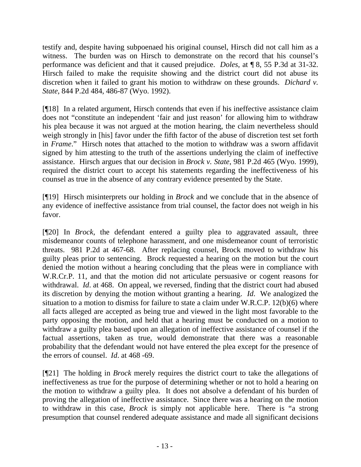testify and, despite having subpoenaed his original counsel, Hirsch did not call him as a witness. The burden was on Hirsch to demonstrate on the record that his counsel's performance was deficient and that it caused prejudice. *Doles*, at ¶ 8, 55 P.3d at 31-32. Hirsch failed to make the requisite showing and the district court did not abuse its discretion when it failed to grant his motion to withdraw on these grounds. *Dichard v. State*, 844 P.2d 484, 486-87 (Wyo. 1992).

[¶18] In a related argument, Hirsch contends that even if his ineffective assistance claim does not "constitute an independent 'fair and just reason' for allowing him to withdraw his plea because it was not argued at the motion hearing, the claim nevertheless should weigh strongly in [his] favor under the fifth factor of the abuse of discretion test set forth in *Frame*." Hirsch notes that attached to the motion to withdraw was a sworn affidavit signed by him attesting to the truth of the assertions underlying the claim of ineffective assistance. Hirsch argues that our decision in *Brock v. State*, 981 P.2d 465 (Wyo. 1999), required the district court to accept his statements regarding the ineffectiveness of his counsel as true in the absence of any contrary evidence presented by the State.

[¶19] Hirsch misinterprets our holding in *Brock* and we conclude that in the absence of any evidence of ineffective assistance from trial counsel, the factor does not weigh in his favor.

[¶20] In *Brock*, the defendant entered a guilty plea to aggravated assault, three misdemeanor counts of telephone harassment, and one misdemeanor count of terroristic threats. 981 P.2d at 467-68. After replacing counsel, Brock moved to withdraw his guilty pleas prior to sentencing. Brock requested a hearing on the motion but the court denied the motion without a hearing concluding that the pleas were in compliance with W.R.Cr.P. 11, and that the motion did not articulate persuasive or cogent reasons for withdrawal. *Id*. at 468. On appeal, we reversed, finding that the district court had abused its discretion by denying the motion without granting a hearing. *Id*. We analogized the situation to a motion to dismiss for failure to state a claim under W.R.C.P. 12(b)(6) where all facts alleged are accepted as being true and viewed in the light most favorable to the party opposing the motion, and held that a hearing must be conducted on a motion to withdraw a guilty plea based upon an allegation of ineffective assistance of counsel if the factual assertions, taken as true, would demonstrate that there was a reasonable probability that the defendant would not have entered the plea except for the presence of the errors of counsel. *Id*. at 468 -69.

[¶21] The holding in *Brock* merely requires the district court to take the allegations of ineffectiveness as true for the purpose of determining whether or not to hold a hearing on the motion to withdraw a guilty plea. It does not absolve a defendant of his burden of proving the allegation of ineffective assistance. Since there was a hearing on the motion to withdraw in this case, *Brock* is simply not applicable here. There is "a strong presumption that counsel rendered adequate assistance and made all significant decisions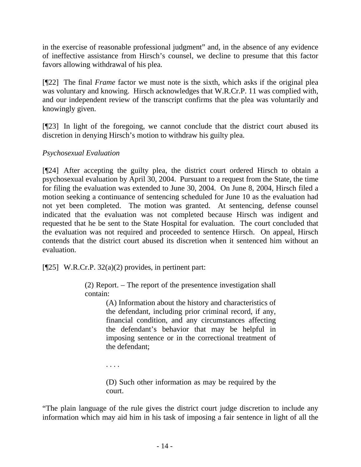in the exercise of reasonable professional judgment" and, in the absence of any evidence of ineffective assistance from Hirsch's counsel, we decline to presume that this factor favors allowing withdrawal of his plea.

[¶22] The final *Frame* factor we must note is the sixth, which asks if the original plea was voluntary and knowing. Hirsch acknowledges that W.R.Cr.P. 11 was complied with, and our independent review of the transcript confirms that the plea was voluntarily and knowingly given.

[¶23] In light of the foregoing, we cannot conclude that the district court abused its discretion in denying Hirsch's motion to withdraw his guilty plea.

# *Psychosexual Evaluation*

[¶24] After accepting the guilty plea, the district court ordered Hirsch to obtain a psychosexual evaluation by April 30, 2004. Pursuant to a request from the State, the time for filing the evaluation was extended to June 30, 2004. On June 8, 2004, Hirsch filed a motion seeking a continuance of sentencing scheduled for June 10 as the evaluation had not yet been completed. The motion was granted. At sentencing, defense counsel indicated that the evaluation was not completed because Hirsch was indigent and requested that he be sent to the State Hospital for evaluation. The court concluded that the evaluation was not required and proceeded to sentence Hirsch. On appeal, Hirsch contends that the district court abused its discretion when it sentenced him without an evaluation.

[ $[25]$  W.R.Cr.P. 32(a)(2) provides, in pertinent part:

(2) Report. – The report of the presentence investigation shall contain:

> (A) Information about the history and characteristics of the defendant, including prior criminal record, if any, financial condition, and any circumstances affecting the defendant's behavior that may be helpful in imposing sentence or in the correctional treatment of the defendant;

. . . .

(D) Such other information as may be required by the court.

"The plain language of the rule gives the district court judge discretion to include any information which may aid him in his task of imposing a fair sentence in light of all the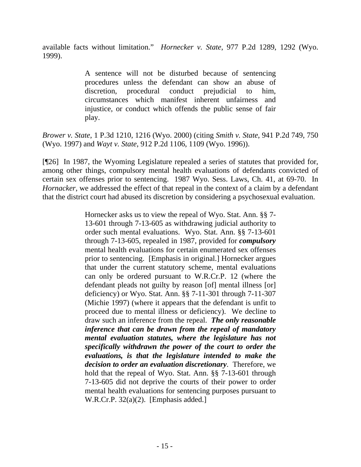available facts without limitation." *Hornecker v. State*, 977 P.2d 1289, 1292 (Wyo. 1999).

> A sentence will not be disturbed because of sentencing procedures unless the defendant can show an abuse of discretion, procedural conduct prejudicial to him, circumstances which manifest inherent unfairness and injustice, or conduct which offends the public sense of fair play.

*Brower v. State*, 1 P.3d 1210, 1216 (Wyo. 2000) (citing *Smith v. State*, 941 P.2d 749, 750 (Wyo. 1997) and *Wayt v. State*, 912 P.2d 1106, 1109 (Wyo. 1996)).

[¶26] In 1987, the Wyoming Legislature repealed a series of statutes that provided for, among other things, compulsory mental health evaluations of defendants convicted of certain sex offenses prior to sentencing. 1987 Wyo. Sess. Laws, Ch. 41, at 69-70. In *Hornacker*, we addressed the effect of that repeal in the context of a claim by a defendant that the district court had abused its discretion by considering a psychosexual evaluation.

> Hornecker asks us to view the repeal of Wyo. Stat. Ann. §§ 7- 13-601 through 7-13-605 as withdrawing judicial authority to order such mental evaluations. Wyo. Stat. Ann. §§ 7-13-601 through 7-13-605, repealed in 1987, provided for *compulsory* mental health evaluations for certain enumerated sex offenses prior to sentencing. [Emphasis in original.] Hornecker argues that under the current statutory scheme, mental evaluations can only be ordered pursuant to W.R.Cr.P. 12 (where the defendant pleads not guilty by reason [of] mental illness [or] deficiency) or Wyo. Stat. Ann. §§ 7-11-301 through 7-11-307 (Michie 1997) (where it appears that the defendant is unfit to proceed due to mental illness or deficiency). We decline to draw such an inference from the repeal. *The only reasonable inference that can be drawn from the repeal of mandatory mental evaluation statutes, where the legislature has not specifically withdrawn the power of the court to order the evaluations, is that the legislature intended to make the decision to order an evaluation discretionary*. Therefore, we hold that the repeal of Wyo. Stat. Ann. §§ 7-13-601 through 7-13-605 did not deprive the courts of their power to order mental health evaluations for sentencing purposes pursuant to W.R.Cr.P. 32(a)(2). [Emphasis added.]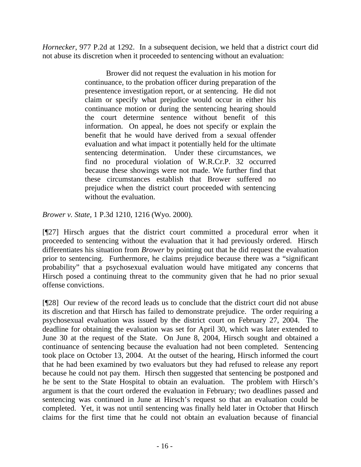*Hornecker*, 977 P.2d at 1292. In a subsequent decision, we held that a district court did not abuse its discretion when it proceeded to sentencing without an evaluation:

> Brower did not request the evaluation in his motion for continuance, to the probation officer during preparation of the presentence investigation report, or at sentencing. He did not claim or specify what prejudice would occur in either his continuance motion or during the sentencing hearing should the court determine sentence without benefit of this information. On appeal, he does not specify or explain the benefit that he would have derived from a sexual offender evaluation and what impact it potentially held for the ultimate sentencing determination. Under these circumstances, we find no procedural violation of W.R.Cr.P. 32 occurred because these showings were not made. We further find that these circumstances establish that Brower suffered no prejudice when the district court proceeded with sentencing without the evaluation.

*Brower v. State*, 1 P.3d 1210, 1216 (Wyo. 2000).

[¶27] Hirsch argues that the district court committed a procedural error when it proceeded to sentencing without the evaluation that it had previously ordered. Hirsch differentiates his situation from *Brower* by pointing out that he did request the evaluation prior to sentencing. Furthermore, he claims prejudice because there was a "significant probability" that a psychosexual evaluation would have mitigated any concerns that Hirsch posed a continuing threat to the community given that he had no prior sexual offense convictions.

[¶28] Our review of the record leads us to conclude that the district court did not abuse its discretion and that Hirsch has failed to demonstrate prejudice. The order requiring a psychosexual evaluation was issued by the district court on February 27, 2004. The deadline for obtaining the evaluation was set for April 30, which was later extended to June 30 at the request of the State. On June 8, 2004, Hirsch sought and obtained a continuance of sentencing because the evaluation had not been completed. Sentencing took place on October 13, 2004. At the outset of the hearing, Hirsch informed the court that he had been examined by two evaluators but they had refused to release any report because he could not pay them. Hirsch then suggested that sentencing be postponed and he be sent to the State Hospital to obtain an evaluation. The problem with Hirsch's argument is that the court ordered the evaluation in February; two deadlines passed and sentencing was continued in June at Hirsch's request so that an evaluation could be completed. Yet, it was not until sentencing was finally held later in October that Hirsch claims for the first time that he could not obtain an evaluation because of financial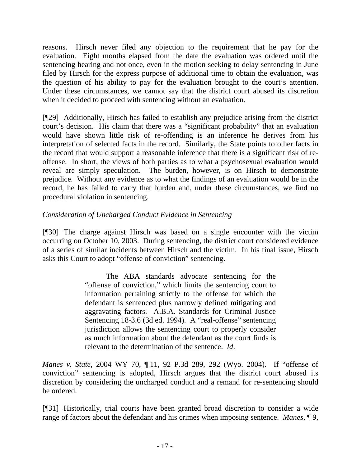reasons. Hirsch never filed any objection to the requirement that he pay for the evaluation. Eight months elapsed from the date the evaluation was ordered until the sentencing hearing and not once, even in the motion seeking to delay sentencing in June filed by Hirsch for the express purpose of additional time to obtain the evaluation, was the question of his ability to pay for the evaluation brought to the court's attention. Under these circumstances, we cannot say that the district court abused its discretion when it decided to proceed with sentencing without an evaluation.

[¶29] Additionally, Hirsch has failed to establish any prejudice arising from the district court's decision. His claim that there was a "significant probability" that an evaluation would have shown little risk of re-offending is an inference he derives from his interpretation of selected facts in the record. Similarly, the State points to other facts in the record that would support a reasonable inference that there is a significant risk of reoffense. In short, the views of both parties as to what a psychosexual evaluation would reveal are simply speculation. The burden, however, is on Hirsch to demonstrate prejudice. Without any evidence as to what the findings of an evaluation would be in the record, he has failed to carry that burden and, under these circumstances, we find no procedural violation in sentencing.

## *Consideration of Uncharged Conduct Evidence in Sentencing*

[¶30] The charge against Hirsch was based on a single encounter with the victim occurring on October 10, 2003. During sentencing, the district court considered evidence of a series of similar incidents between Hirsch and the victim. In his final issue, Hirsch asks this Court to adopt "offense of conviction" sentencing.

> The ABA standards advocate sentencing for the "offense of conviction," which limits the sentencing court to information pertaining strictly to the offense for which the defendant is sentenced plus narrowly defined mitigating and aggravating factors. A.B.A. Standards for Criminal Justice Sentencing 18-3.6 (3d ed. 1994). A "real-offense" sentencing jurisdiction allows the sentencing court to properly consider as much information about the defendant as the court finds is relevant to the determination of the sentence. *Id*.

*Manes v. State*, 2004 WY 70, ¶ 11, 92 P.3d 289, 292 (Wyo. 2004). If "offense of conviction" sentencing is adopted, Hirsch argues that the district court abused its discretion by considering the uncharged conduct and a remand for re-sentencing should be ordered.

[¶31] Historically, trial courts have been granted broad discretion to consider a wide range of factors about the defendant and his crimes when imposing sentence. *Manes*, ¶ 9,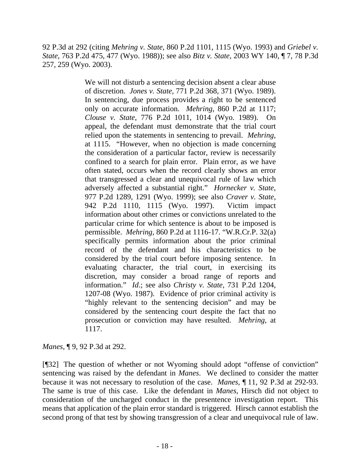92 P.3d at 292 (citing *Mehring v. State*, 860 P.2d 1101, 1115 (Wyo. 1993) and *Griebel v. State*, 763 P.2d 475, 477 (Wyo. 1988)); see also *Bitz v. State*, 2003 WY 140, ¶ 7, 78 P.3d 257, 259 (Wyo. 2003).

> We will not disturb a sentencing decision absent a clear abuse of discretion. *Jones v. State*, 771 P.2d 368, 371 (Wyo. 1989). In sentencing, due process provides a right to be sentenced only on accurate information. *Mehring*, 860 P.2d at 1117; *Clouse v. State*, 776 P.2d 1011, 1014 (Wyo. 1989). On appeal, the defendant must demonstrate that the trial court relied upon the statements in sentencing to prevail. *Mehring*, at 1115. "However, when no objection is made concerning the consideration of a particular factor, review is necessarily confined to a search for plain error. Plain error, as we have often stated, occurs when the record clearly shows an error that transgressed a clear and unequivocal rule of law which adversely affected a substantial right." *Hornecker v. State*, 977 P.2d 1289, 1291 (Wyo. 1999); see also *Craver v. State*, 942 P.2d 1110, 1115 (Wyo. 1997). Victim impact information about other crimes or convictions unrelated to the particular crime for which sentence is about to be imposed is permissible. *Mehring*, 860 P.2d at 1116-17. "W.R.Cr.P. 32(a) specifically permits information about the prior criminal record of the defendant and his characteristics to be considered by the trial court before imposing sentence. In evaluating character, the trial court, in exercising its discretion, may consider a broad range of reports and information." *Id*.; see also *Christy v. State*, 731 P.2d 1204, 1207-08 (Wyo. 1987). Evidence of prior criminal activity is "highly relevant to the sentencing decision" and may be considered by the sentencing court despite the fact that no prosecution or conviction may have resulted. *Mehring*, at 1117.

*Manes*, ¶ 9, 92 P.3d at 292.

[¶32] The question of whether or not Wyoming should adopt "offense of conviction" sentencing was raised by the defendant in *Manes*. We declined to consider the matter because it was not necessary to resolution of the case. *Manes*, ¶ 11, 92 P.3d at 292-93. The same is true of this case. Like the defendant in *Manes*, Hirsch did not object to consideration of the uncharged conduct in the presentence investigation report. This means that application of the plain error standard is triggered. Hirsch cannot establish the second prong of that test by showing transgression of a clear and unequivocal rule of law.